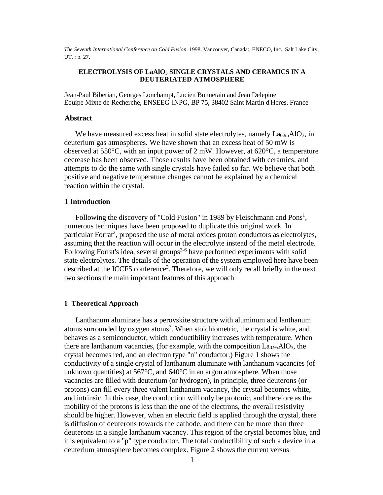*The Seventh International Conference on Cold Fusion*. 1998. Vancouver, Canada:, ENECO, Inc., Salt Lake City, UT. : p. 27.

# **ELECTROLYSIS OF LaAlO3 SINGLE CRYSTALS AND CERAMICS IN A DEUTERIATED ATMOSPHERE**

Jean-Paul Biberian, Georges Lonchampt, Lucien Bonnetain and Jean Delepine Equipe Mixte de Recherche, ENSEEG-INPG, BP 75, 38402 Saint Martin d'Heres, France

#### **Abstract**

We have measured excess heat in solid state electrolytes, namely  $La<sub>0.95</sub>AlO<sub>3</sub>$ , in deuterium gas atmospheres. We have shown that an excess heat of 50 mW is observed at 550°C, with an input power of 2 mW. However, at 620°C, a temperature decrease has been observed. Those results have been obtained with ceramics, and attempts to do the same with single crystals have failed so far. We believe that both positive and negative temperature changes cannot be explained by a chemical reaction within the crystal.

#### **1 Introduction**

Following the discovery of "Cold Fusion" in 1989 by Fleischmann and  $Pons<sup>1</sup>$ , numerous techniques have been proposed to duplicate this original work. In particular Forrat<sup>2</sup>, proposed the use of metal oxides proton conductors as electrolytes, assuming that the reaction will occur in the electrolyte instead of the metal electrode. Following Forrat's idea, several groups<sup>3-6</sup> have performed experiments with solid state electrolytes. The details of the operation of the system employed here have been described at the ICCF5 conference<sup>3</sup>. Therefore, we will only recall briefly in the next two sections the main important features of this approach

### **1 Theoretical Approach**

Lanthanum aluminate has a perovskite structure with aluminum and lanthanum atoms surrounded by oxygen atoms<sup>3</sup>. When stoichiometric, the crystal is white, and behaves as a semiconductor, which conductibility increases with temperature. When there are lanthanum vacancies, (for example, with the composition  $La<sub>0.95</sub>AlO<sub>3</sub>$ , the crystal becomes red, and an electron type "n" conductor.) Figure 1 shows the conductivity of a single crystal of lanthanum aluminate with lanthanum vacancies (of unknown quantities) at  $567^{\circ}$ C, and  $640^{\circ}$ C in an argon atmosphere. When those vacancies are filled with deuterium (or hydrogen), in principle, three deuterons (or protons) can fill every three valent lanthanum vacancy, the crystal becomes white, and intrinsic. In this case, the conduction will only be protonic, and therefore as the mobility of the protons is less than the one of the electrons, the overall resistivity should be higher. However, when an electric field is applied through the crystal, there is diffusion of deuterons towards the cathode, and there can be more than three deuterons in a single lanthanum vacancy. This region of the crystal becomes blue, and it is equivalent to a "p" type conductor. The total conductibility of such a device in a deuterium atmosphere becomes complex. Figure 2 shows the current versus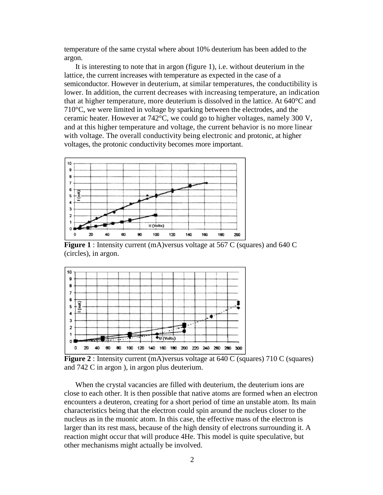temperature of the same crystal where about 10% deuterium has been added to the argon.

It is interesting to note that in argon (figure 1), i.e. without deuterium in the lattice, the current increases with temperature as expected in the case of a semiconductor. However in deuterium, at similar temperatures, the conductibility is lower. In addition, the current decreases with increasing temperature, an indication that at higher temperature, more deuterium is dissolved in the lattice. At 640°C and 710°C, we were limited in voltage by sparking between the electrodes, and the ceramic heater. However at 742°C, we could go to higher voltages, namely 300 V, and at this higher temperature and voltage, the current behavior is no more linear with voltage. The overall conductivity being electronic and protonic, at higher voltages, the protonic conductivity becomes more important.



**Figure 1** : Intensity current (mA)versus voltage at 567 C (squares) and 640 C (circles), in argon.



**Figure 2** : Intensity current (mA)versus voltage at 640 C (squares) 710 C (squares) and 742 C in argon ), in argon plus deuterium.

When the crystal vacancies are filled with deuterium, the deuterium ions are close to each other. It is then possible that native atoms are formed when an electron encounters a deuteron, creating for a short period of time an unstable atom. Its main characteristics being that the electron could spin around the nucleus closer to the nucleus as in the muonic atom. In this case, the effective mass of the electron is larger than its rest mass, because of the high density of electrons surrounding it. A reaction might occur that will produce 4He. This model is quite speculative, but other mechanisms might actually be involved.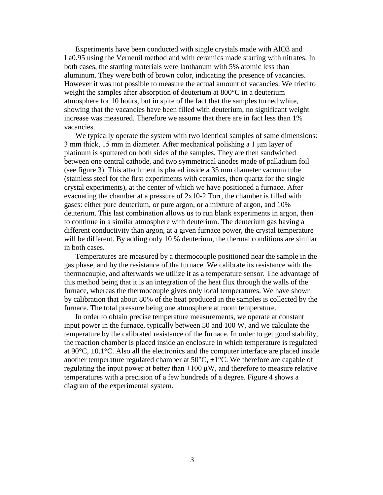Experiments have been conducted with single crystals made with AlO3 and La0.95 using the Verneuil method and with ceramics made starting with nitrates. In both cases, the starting materials were lanthanum with 5% atomic less than aluminum. They were both of brown color, indicating the presence of vacancies. However it was not possible to measure the actual amount of vacancies. We tried to weight the samples after absorption of deuterium at 800°C in a deuterium atmosphere for 10 hours, but in spite of the fact that the samples turned white, showing that the vacancies have been filled with deuterium, no significant weight increase was measured. Therefore we assume that there are in fact less than 1% vacancies.

We typically operate the system with two identical samples of same dimensions: 3 mm thick, 15 mm in diameter. After mechanical polishing a 1 μm layer of platinum is sputtered on both sides of the samples. They are then sandwiched between one central cathode, and two symmetrical anodes made of palladium foil (see figure 3). This attachment is placed inside a 35 mm diameter vacuum tube (stainless steel for the first experiments with ceramics, then quartz for the single crystal experiments), at the center of which we have positioned a furnace. After evacuating the chamber at a pressure of 2x10-2 Torr, the chamber is filled with gases: either pure deuterium, or pure argon, or a mixture of argon, and 10% deuterium. This last combination allows us to run blank experiments in argon, then to continue in a similar atmosphere with deuterium. The deuterium gas having a different conductivity than argon, at a given furnace power, the crystal temperature will be different. By adding only 10 % deuterium, the thermal conditions are similar in both cases.

Temperatures are measured by a thermocouple positioned near the sample in the gas phase, and by the resistance of the furnace. We calibrate its resistance with the thermocouple, and afterwards we utilize it as a temperature sensor. The advantage of this method being that it is an integration of the heat flux through the walls of the furnace, whereas the thermocouple gives only local temperatures. We have shown by calibration that about 80% of the heat produced in the samples is collected by the furnace. The total pressure being one atmosphere at room temperature.

In order to obtain precise temperature measurements, we operate at constant input power in the furnace, typically between 50 and 100 W, and we calculate the temperature by the calibrated resistance of the furnace. In order to get good stability, the reaction chamber is placed inside an enclosure in which temperature is regulated at  $90^{\circ}$ C,  $\pm$ 0.1 $^{\circ}$ C. Also all the electronics and the computer interface are placed inside another temperature regulated chamber at  $50^{\circ}$ C,  $\pm$ 1°C. We therefore are capable of regulating the input power at better than  $\pm 100 \mu W$ , and therefore to measure relative temperatures with a precision of a few hundreds of a degree. Figure 4 shows a diagram of the experimental system.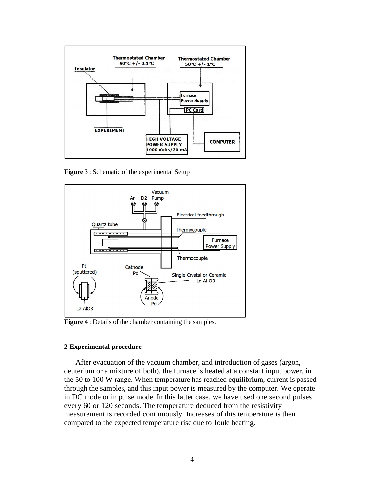

**Figure 3** : Schematic of the experimental Setup



**Figure 4** : Details of the chamber containing the samples.

#### **2 Experimental procedure**

After evacuation of the vacuum chamber, and introduction of gases (argon, deuterium or a mixture of both), the furnace is heated at a constant input power, in the 50 to 100 W range. When temperature has reached equilibrium, current is passed through the samples, and this input power is measured by the computer. We operate in DC mode or in pulse mode. In this latter case, we have used one second pulses every 60 or 120 seconds. The temperature deduced from the resistivity measurement is recorded continuously. Increases of this temperature is then compared to the expected temperature rise due to Joule heating.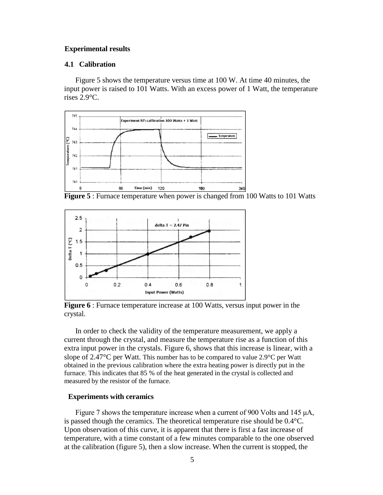## **Experimental results**

## **4.1 Calibration**

Figure 5 shows the temperature versus time at 100 W. At time 40 minutes, the input power is raised to 101 Watts. With an excess power of 1 Watt, the temperature rises 2.9°C.



**Figure 5** : Furnace temperature when power is changed from 100 Watts to 101 Watts



**Figure 6** : Furnace temperature increase at 100 Watts, versus input power in the crystal.

In order to check the validity of the temperature measurement, we apply a current through the crystal, and measure the temperature rise as a function of this extra input power in the crystals. Figure 6, shows that this increase is linear, with a slope of 2.47°C per Watt. This number has to be compared to value 2.9°C per Watt obtained in the previous calibration where the extra heating power is directly put in the furnace. This indicates that 85 % of the heat generated in the crystal is collected and measured by the resistor of the furnace.

# **Experiments with ceramics**

Figure 7 shows the temperature increase when a current of 900 Volts and 145 μA, is passed though the ceramics. The theoretical temperature rise should be 0.4°C. Upon observation of this curve, it is apparent that there is first a fast increase of temperature, with a time constant of a few minutes comparable to the one observed at the calibration (figure 5), then a slow increase. When the current is stopped, the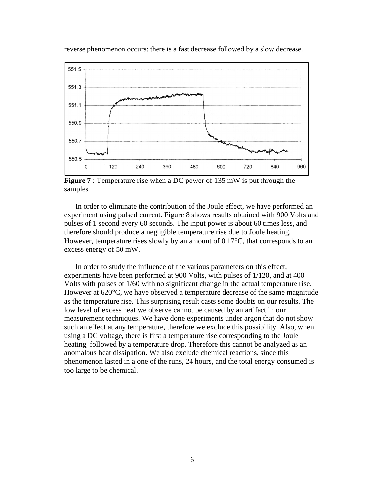

reverse phenomenon occurs: there is a fast decrease followed by a slow decrease.

**Figure 7** : Temperature rise when a DC power of 135 mW is put through the samples.

In order to eliminate the contribution of the Joule effect, we have performed an experiment using pulsed current. Figure 8 shows results obtained with 900 Volts and pulses of 1 second every 60 seconds. The input power is about 60 times less, and therefore should produce a negligible temperature rise due to Joule heating. However, temperature rises slowly by an amount of 0.17<sup>o</sup>C, that corresponds to an excess energy of 50 mW.

In order to study the influence of the various parameters on this effect, experiments have been performed at 900 Volts, with pulses of 1/120, and at 400 Volts with pulses of 1/60 with no significant change in the actual temperature rise. However at 620°C, we have observed a temperature decrease of the same magnitude as the temperature rise. This surprising result casts some doubts on our results. The low level of excess heat we observe cannot be caused by an artifact in our measurement techniques. We have done experiments under argon that do not show such an effect at any temperature, therefore we exclude this possibility. Also, when using a DC voltage, there is first a temperature rise corresponding to the Joule heating, followed by a temperature drop. Therefore this cannot be analyzed as an anomalous heat dissipation. We also exclude chemical reactions, since this phenomenon lasted in a one of the runs, 24 hours, and the total energy consumed is too large to be chemical.